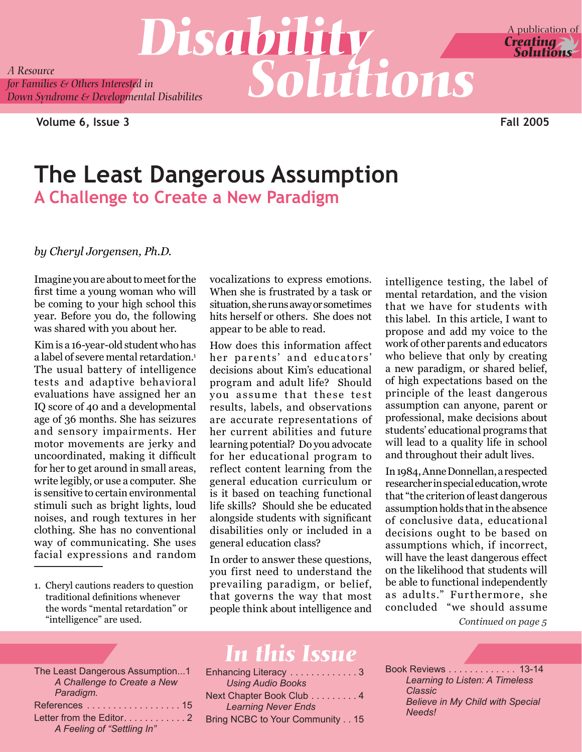*A Resource A Resource*<br>*A Resource*<br>*for Families & Others Interested in*<br>*Solutions Down Syndrome & Developmental Disabilites*

**Volume 6, Issue 3 Fall 2005**

### **The Least Dangerous Assumption A Challenge to Create a New Paradigm**

#### *by Cheryl Jorgensen, Ph.D.*

Imagine you are about to meet for the first time a young woman who will be coming to your high school this year. Before you do, the following was shared with you about her.

Kim is a 16-year-old student who has a label of severe mental retardation. The usual battery of intelligence tests and adaptive behavioral evaluations have assigned her an IQ score of 40 and a developmental age of 36 months. She has seizures and sensory impairments. Her motor movements are jerky and uncoordinated, making it difficult for her to get around in small areas, write legibly, or use a computer. She is sensitive to certain environmental stimuli such as bright lights, loud noises, and rough textures in her clothing. She has no conventional way of communicating. She uses facial expressions and random

1. Cheryl cautions readers to question traditional definitions whenever the words "mental retardation" or "intelligence" are used.

vocalizations to express emotions. When she is frustrated by a task or situation, she runs away or sometimes hits herself or others. She does not appear to be able to read.

How does this information affect her parents' and educators' decisions about Kim's educational program and adult life? Should you assume that these test results, labels, and observations are accurate representations of her current abilities and future learning potential? Do you advocate for her educational program to reflect content learning from the general education curriculum or is it based on teaching functional life skills? Should she be educated alongside students with significant disabilities only or included in a general education class?

In order to answer these questions, you first need to understand the prevailing paradigm, or belief, that governs the way that most people think about intelligence and

intelligence testing, the label of mental retardation, and the vision that we have for students with this label. In this article, I want to propose and add my voice to the work of other parents and educators who believe that only by creating a new paradigm, or shared belief, of high expectations based on the principle of the least dangerous assumption can anyone, parent or professional, make decisions about students' educational programs that will lead to a quality life in school and throughout their adult lives.

*Continued on page 5* In 1984, Anne Donnellan, a respected researcher in special education, wrote that "the criterion of least dangerous assumption holds that in the absence of conclusive data, educational decisions ought to be based on assumptions which, if incorrect, will have the least dangerous effect on the likelihood that students will be able to functional independently as adults." Furthermore, she concluded "we should assume

The Least Dangerous Assumption...1 *A Challenge to Create a New Paradigm.* References . . . . . . . . . . . . . . . . . 15 Letter from the Editor.  $\dots$ . . . . . . . . . 2 *A Feeling of "Settling In"*

## *In this Issue*

| Enhancing Literacy 3            |
|---------------------------------|
| <b>Using Audio Books</b>        |
| Next Chapter Book Club 4        |
| <b>Learning Never Ends</b>      |
| Bring NCBC to Your Community 15 |

Book Reviews . . . . . . . . . . . . 13-14 *Learning to Listen: A Timeless Classic Believe in My Child with Special Needs!*

### A publication of **Creating Solutions**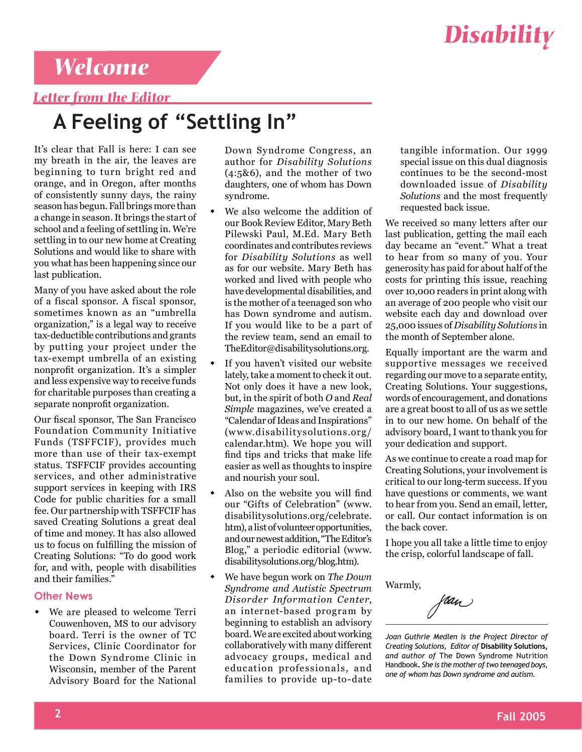

### *Welcome*

### *Letter from the Editor*

## **A Feeling of "Settling In"**

It's clear that Fall is here: I can see my breath in the air, the leaves are beginning to turn bright red and orange, and in Oregon, after months of consistently sunny days, the rainy season has begun. Fall brings more than a change in season. It brings the start of school and a feeling of settling in. We're settling in to our new home at Creating Solutions and would like to share with you what has been happening since our last publication.

Many of you have asked about the role of a fiscal sponsor. A fiscal sponsor, sometimes known as an "umbrella organization," is a legal way to receive tax-deductible contributions and grants by putting your project under the tax-exempt umbrella of an existing nonprofit organization. It's a simpler and less expensive way to receive funds for charitable purposes than creating a separate nonprofit organization.

Our fiscal sponsor, The San Francisco Foundation Community Initiative Funds (TSFFCIF), provides much more than use of their tax-exempt status. TSFFCIF provides accounting services, and other administrative support services in keeping with IRS Code for public charities for a small fee. Our partnership with TSFFCIF has saved Creating Solutions a great deal of time and money. It has also allowed us to focus on fulfilling the mission of Creating Solutions: "To do good work for, and with, people with disabilities and their families."

#### **Other News**

• We are pleased to welcome Terri Couwenhoven, MS to our advisory board. Terri is the owner of TC Services, Clinic Coordinator for the Down Syndrome Clinic in Wisconsin, member of the Parent Advisory Board for the National

Down Syndrome Congress, an author for *Disability Solutions* (4:5&6), and the mother of two daughters, one of whom has Down syndrome.

- We also welcome the addition of our Book Review Editor, Mary Beth Pilewski Paul, M.Ed. Mary Beth coordinates and contributes reviews for *Disability Solutions* as well as for our website. Mary Beth has worked and lived with people who have developmental disabilities, and is the mother of a teenaged son who has Down syndrome and autism. If you would like to be a part of the review team, send an email to TheEditor@disabilitysolutions.org.
- If you haven't visited our website lately, take a moment to check it out. Not only does it have a new look, but, in the spirit of both *O* and *Real Simple* magazines, we've created a "Calendar of Ideas and Inspirations" (w w w.disabilitysolutions.org/ calendar.htm). We hope you will find tips and tricks that make life easier as well as thoughts to inspire and nourish your soul.
- Also on the website you will find our "Gifts of Celebration" (www. disabilitysolutions.org/celebrate. htm), a list of volunteer opportunities, and our newest addition, "The Editor's Blog," a periodic editorial (www. disabilitysolutions.org/blog.htm).
- We have begun work on *The Down Syndrome and Autistic Spectrum Disorder Information Center*, an internet-based program by beginning to establish an advisory board. We are excited about working collaboratively with many different advocacy groups, medical and education professionals, and families to provide up-to-date

tangible information. Our 1999 special issue on this dual diagnosis continues to be the second-most downloaded issue of *Disability Solutions* and the most frequently requested back issue.

We received so many letters after our last publication, getting the mail each day became an "event." What a treat to hear from so many of you. Your generosity has paid for about half of the costs for printing this issue, reaching over 10,000 readers in print along with an average of 200 people who visit our website each day and download over 25,000 issues of *Disability Solutions* in the month of September alone.

Equally important are the warm and supportive messages we received regarding our move to a separate entity, Creating Solutions. Your suggestions, words of encouragement, and donations are a great boost to all of us as we settle in to our new home. On behalf of the advisory board, I want to thank you for your dedication and support.

As we continue to create a road map for Creating Solutions, your involvement is critical to our long-term success. If you have questions or comments, we want to hear from you. Send an email, letter, or call. Our contact information is on the back cover.

I hope you all take a little time to enjoy the crisp, colorful landscape of fall.

Warmly,

Van

*Joan Guthrie Medlen is the Project Director of Creating Solutions, Editor of* **Disability Solutions,**  *and author of* The Down Syndrome Nutrition Handbook**.** *She is the mother of two teenaged boys, one of whom has Down syndrome and autism.*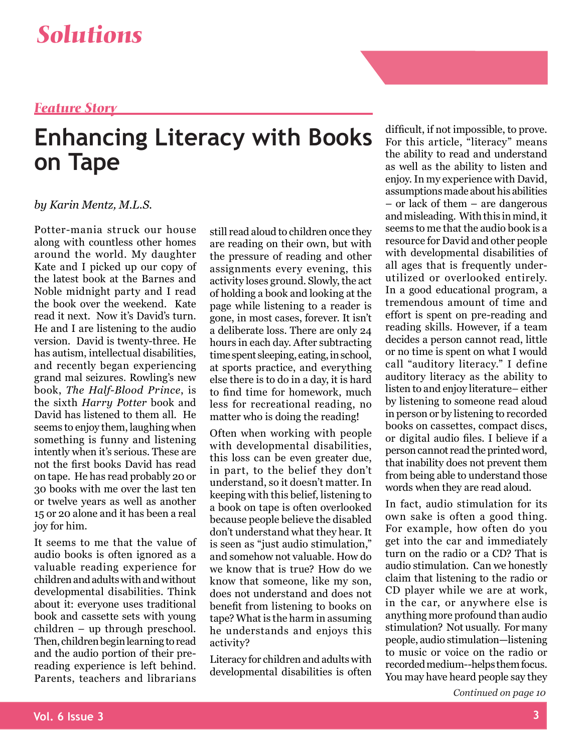### *Feature Story*

## **Enhancing Literacy with Books on Tape**

### *by Karin Mentz, M.L.S.*

Potter-mania struck our house along with countless other homes around the world. My daughter Kate and I picked up our copy of the latest book at the Barnes and Noble midnight party and I read the book over the weekend. Kate read it next. Now it's David's turn. He and I are listening to the audio version. David is twenty-three. He has autism, intellectual disabilities, and recently began experiencing grand mal seizures. Rowling's new book, *The Half-Blood Prince*, is the sixth *Harry Potter* book and David has listened to them all. He seems to enjoy them, laughing when something is funny and listening intently when it's serious. These are not the first books David has read on tape. He has read probably 20 or 30 books with me over the last ten or twelve years as well as another 15 or 20 alone and it has been a real joy for him.

It seems to me that the value of audio books is often ignored as a valuable reading experience for children and adults with and without developmental disabilities. Think about it: everyone uses traditional book and cassette sets with young children – up through preschool. Then, children begin learning to read and the audio portion of their prereading experience is left behind. Parents, teachers and librarians

still read aloud to children once they are reading on their own, but with the pressure of reading and other assignments every evening, this activity loses ground. Slowly, the act of holding a book and looking at the page while listening to a reader is gone, in most cases, forever. It isn't a deliberate loss. There are only 24 hours in each day. After subtracting time spent sleeping, eating, in school, at sports practice, and everything else there is to do in a day, it is hard to find time for homework, much less for recreational reading, no matter who is doing the reading!

Often when working with people with developmental disabilities, this loss can be even greater due, in part, to the belief they don't understand, so it doesn't matter. In keeping with this belief, listening to a book on tape is often overlooked because people believe the disabled don't understand what they hear. It is seen as "just audio stimulation," and somehow not valuable. How do we know that is true? How do we know that someone, like my son, does not understand and does not benefit from listening to books on tape? What is the harm in assuming he understands and enjoys this activity?

Literacy for children and adults with developmental disabilities is often

difficult, if not impossible, to prove. For this article, "literacy" means the ability to read and understand as well as the ability to listen and enjoy. In my experience with David, assumptions made about his abilities – or lack of them – are dangerous and misleading. With this in mind, it seems to me that the audio book is a resource for David and other people with developmental disabilities of all ages that is frequently underutilized or overlooked entirely. In a good educational program, a tremendous amount of time and effort is spent on pre-reading and reading skills. However, if a team decides a person cannot read, little or no time is spent on what I would call "auditory literacy." I define auditory literacy as the ability to listen to and enjoy literature– either by listening to someone read aloud in person or by listening to recorded books on cassettes, compact discs, or digital audio files. I believe if a person cannot read the printed word, that inability does not prevent them from being able to understand those words when they are read aloud.

In fact, audio stimulation for its own sake is often a good thing. For example, how often do you get into the car and immediately turn on the radio or a CD? That is audio stimulation. Can we honestly claim that listening to the radio or CD player while we are at work, in the car, or anywhere else is anything more profound than audio stimulation? Not usually. For many people, audio stimulation—listening to music or voice on the radio or recorded medium--helps them focus. You may have heard people say they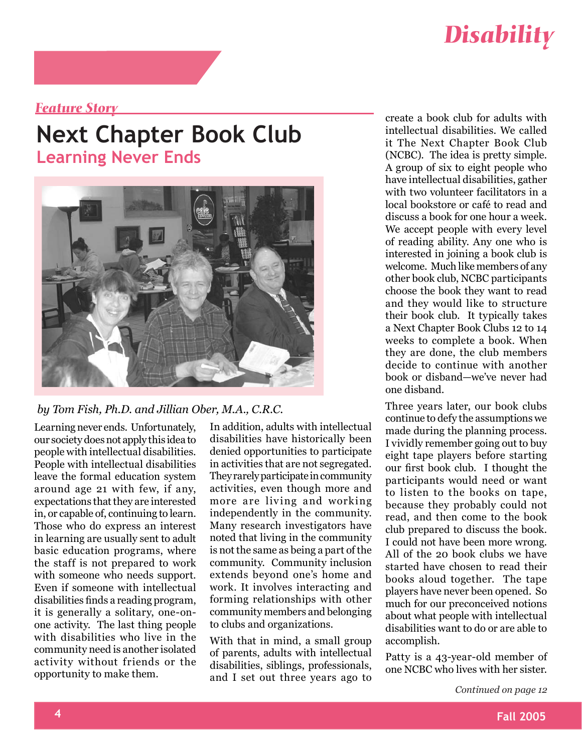

### *Feature Story*

### **Next Chapter Book Club Learning Never Ends**



#### *by Tom Fish, Ph.D. and Jillian Ober, M.A., C.R.C.*

Learning never ends. Unfortunately, our society does not apply this idea to people with intellectual disabilities. People with intellectual disabilities leave the formal education system around age 21 with few, if any, expectations that they are interested in, or capable of, continuing to learn. Those who do express an interest in learning are usually sent to adult basic education programs, where the staff is not prepared to work with someone who needs support. Even if someone with intellectual disabilities finds a reading program, it is generally a solitary, one-onone activity. The last thing people with disabilities who live in the community need is another isolated activity without friends or the opportunity to make them.

In addition, adults with intellectual disabilities have historically been denied opportunities to participate in activities that are not segregated. They rarely participate in community activities, even though more and more are living and working independently in the community. Many research investigators have noted that living in the community is not the same as being a part of the community. Community inclusion extends beyond one's home and work. It involves interacting and forming relationships with other community members and belonging to clubs and organizations.

With that in mind, a small group of parents, adults with intellectual disabilities, siblings, professionals, and I set out three years ago to

create a book club for adults with intellectual disabilities. We called it The Next Chapter Book Club (NCBC). The idea is pretty simple. A group of six to eight people who have intellectual disabilities, gather with two volunteer facilitators in a local bookstore or café to read and discuss a book for one hour a week. We accept people with every level of reading ability. Any one who is interested in joining a book club is welcome. Much like members of any other book club, NCBC participants choose the book they want to read and they would like to structure their book club. It typically takes a Next Chapter Book Clubs 12 to 14 weeks to complete a book. When they are done, the club members decide to continue with another book or disband—we've never had one disband.

Three years later, our book clubs continue to defy the assumptions we made during the planning process. I vividly remember going out to buy eight tape players before starting our first book club. I thought the participants would need or want to listen to the books on tape, because they probably could not read, and then come to the book club prepared to discuss the book. I could not have been more wrong. All of the 20 book clubs we have started have chosen to read their books aloud together. The tape players have never been opened. So much for our preconceived notions about what people with intellectual disabilities want to do or are able to accomplish.

Patty is a 43-year-old member of one NCBC who lives with her sister.

*Continued on page 12*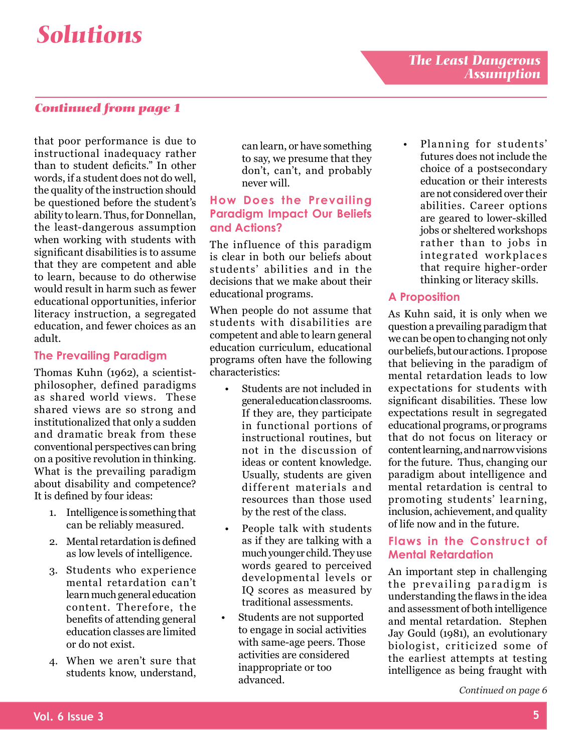### *Continued from page 1*

that poor performance is due to instructional inadequacy rather than to student deficits." In other words, if a student does not do well, the quality of the instruction should be questioned before the student's ability to learn. Thus, for Donnellan, the least-dangerous assumption when working with students with significant disabilities is to assume that they are competent and able to learn, because to do otherwise would result in harm such as fewer educational opportunities, inferior literacy instruction, a segregated education, and fewer choices as an adult.

### **The Prevailing Paradigm**

Thomas Kuhn (1962), a scientistphilosopher, defined paradigms as shared world views. These shared views are so strong and institutionalized that only a sudden and dramatic break from these conventional perspectives can bring on a positive revolution in thinking. What is the prevailing paradigm about disability and competence? It is defined by four ideas:

- 1. Intelligence is something that can be reliably measured.
- Mental retardation is defined 2. as low levels of intelligence.
- 3. Students who experience mental retardation can't learn much general education content. Therefore, the benefits of attending general education classes are limited or do not exist.
- When we aren't sure that 4. students know, understand,

can learn, or have something to say, we presume that they don't, can't, and probably never will.

### **How Does the Prevailing Paradigm Impact Our Beliefs and Actions?**

The influence of this paradigm is clear in both our beliefs about students' abilities and in the decisions that we make about their educational programs.

When people do not assume that students with disabilities are competent and able to learn general education curriculum, educational programs often have the following characteristics:

- Students are not included in general education classrooms. If they are, they participate in functional portions of instructional routines, but not in the discussion of ideas or content knowledge. Usually, students are given different materials and resources than those used by the rest of the class. •
- People talk with students as if they are talking with a much younger child. They use words geared to perceived developmental levels or IQ scores as measured by traditional assessments. •
- Students are not supported to engage in social activities with same-age peers. Those activities are considered inappropriate or too advanced. •

Planning for students' futures does not include the choice of a postsecondary education or their interests are not considered over their abilities. Career options are geared to lower-skilled jobs or sheltered workshops rather than to jobs in integrated workplaces that require higher-order thinking or literacy skills. •

### **A Proposition**

As Kuhn said, it is only when we question a prevailing paradigm that we can be open to changing not only our beliefs, but our actions. I propose that believing in the paradigm of mental retardation leads to low expectations for students with significant disabilities. These low expectations result in segregated educational programs, or programs that do not focus on literacy or content learning, and narrow visions for the future. Thus, changing our paradigm about intelligence and mental retardation is central to promoting students' learning, inclusion, achievement, and quality of life now and in the future.

### **Flaws in the Construct of Mental Retardation**

An important step in challenging the prevailing paradigm is understanding the flaws in the idea and assessment of both intelligence and mental retardation. Stephen Jay Gould (1981), an evolutionary biologist, criticized some of the earliest attempts at testing intelligence as being fraught with

*Continued on page 6*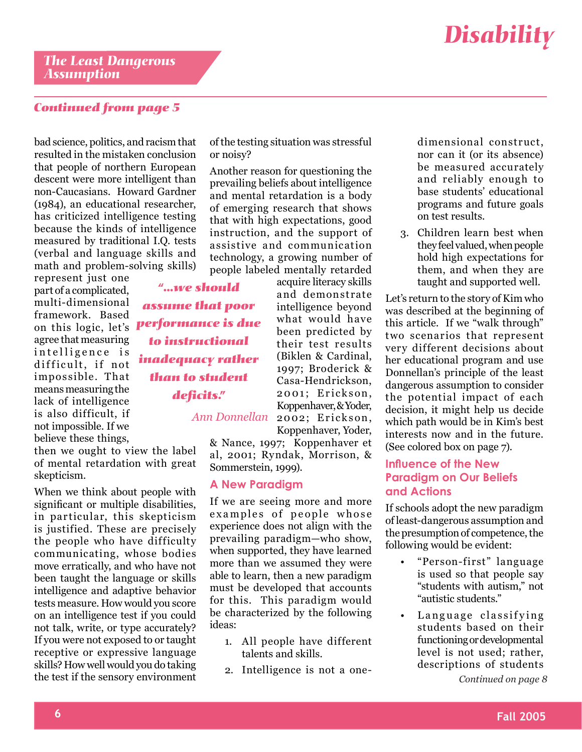### *Continued from page 5*

bad science, politics, and racism that resulted in the mistaken conclusion that people of northern European descent were more intelligent than non-Caucasians. Howard Gardner (1984), an educational researcher, has criticized intelligence testing because the kinds of intelligence measured by traditional I.Q. tests (verbal and language skills and math and problem-solving skills)

represent just one part of a complicated, multi-dimensional framework. Based on this logic, let's agree that measuring intelligence is difficult, if not impossible. That means measuring the lack of intelligence is also difficult, if not impossible. If we believe these things,

then we ought to view the label of mental retardation with great skepticism.

When we think about people with significant or multiple disabilities, in particular, this skepticism is justified. These are precisely the people who have difficulty communicating, whose bodies move erratically, and who have not been taught the language or skills intelligence and adaptive behavior tests measure. How would you score on an intelligence test if you could not talk, write, or type accurately? If you were not exposed to or taught receptive or expressive language skills? How well would you do taking the test if the sensory environment

of the testing situation was stressful or noisy?

Another reason for questioning the prevailing beliefs about intelligence and mental retardation is a body of emerging research that shows that with high expectations, good instruction, and the support of assistive and communication technology, a growing number of people labeled mentally retarded

acquire literacy skills and demonstrate intelligence beyond what would have been predicted by their test results (Biklen & Cardinal, 1997; Broderick & Casa-Hendrickson, 2001; Erickson, Koppenhaver, & Yoder, 2002; Erickson, Koppenhaver, Yoder,

*Ann Donnellan* 

*"...we should assume that poor performance is due to instructional* 

*inadequacy rather than to student deficits."*

> & Nance, 1997; Koppenhaver et al, 2001; Ryndak, Morrison, & Sommerstein, 1999).

### **A New Paradigm**

If we are seeing more and more examples of people whose experience does not align with the prevailing paradigm—who show, when supported, they have learned more than we assumed they were able to learn, then a new paradigm must be developed that accounts for this. This paradigm would be characterized by the following ideas:

- All people have different 1. talents and skills.
- 2. Intelligence is not a one-

dimensional construct, nor can it (or its absence) be measured accurately and reliably enough to base students' educational programs and future goals on test results.

Children learn best when 3. they feel valued, when people hold high expectations for them, and when they are taught and supported well.

Let's return to the story of Kim who was described at the beginning of this article. If we "walk through" two scenarios that represent very different decisions about her educational program and use Donnellan's principle of the least dangerous assumption to consider the potential impact of each decision, it might help us decide which path would be in Kim's best interests now and in the future. (See colored box on page 7).

### **Influence of the New Paradigm on Our Beliefs and Actions**

If schools adopt the new paradigm of least-dangerous assumption and the presumption of competence, the following would be evident:

- "Person-first" language is used so that people say "students with autism," not "autistic students." •
- Language classifying students based on their functioning or developmental level is not used; rather, descriptions of students •

*Continued on page 8*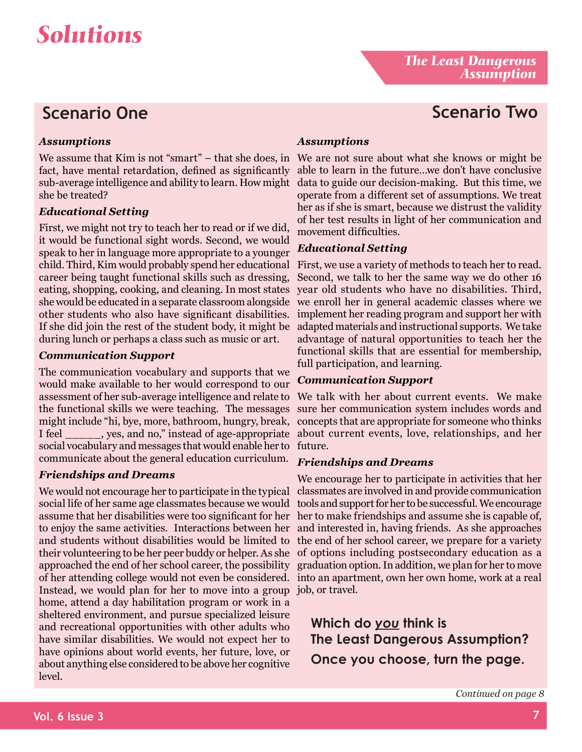### *Assumptions*

We assume that Kim is not "smart" – that she does, in We are not sure about what she knows or might be fact, have mental retardation, defined as significantly sub-average intelligence and ability to learn. How might data to guide our decision-making. But this time, we she be treated?

### *Educational Setting*

First, we might not try to teach her to read or if we did, it would be functional sight words. Second, we would speak to her in language more appropriate to a younger child. Third, Kim would probably spend her educational career being taught functional skills such as dressing, eating, shopping, cooking, and cleaning. In most states she would be educated in a separate classroom alongside we enroll her in general academic classes where we other students who also have significant disabilities. If she did join the rest of the student body, it might be during lunch or perhaps a class such as music or art.

### *Communication Support*

The communication vocabulary and supports that we would make available to her would correspond to our assessment of her sub-average intelligence and relate to We talk with her about current events. We make the functional skills we were teaching. The messages might include "hi, bye, more, bathroom, hungry, break, I feel \_\_\_\_\_, yes, and no," instead of age-appropriate about current events, love, relationships, and her social vocabulary and messages that would enable her to future. communicate about the general education curriculum.

### *Friendships and Dreams*

We would not encourage her to participate in the typical social life of her same age classmates because we would assume that her disabilities were too significant for her to enjoy the same activities. Interactions between her and students without disabilities would be limited to their volunteering to be her peer buddy or helper. As she of options including postsecondary education as a approached the end of her school career, the possibility graduation option. In addition, we plan for her to move of her attending college would not even be considered. into an apartment, own her own home, work at a real Instead, we would plan for her to move into a group job, or travel. home, attend a day habilitation program or work in a sheltered environment, and pursue specialized leisure and recreational opportunities with other adults who have similar disabilities. We would not expect her to have opinions about world events, her future, love, or about anything else considered to be above her cognitive level.

### *Assumptions*

able to learn in the future…we don't have conclusive operate from a different set of assumptions. We treat her as if she is smart, because we distrust the validity of her test results in light of her communication and movement difficulties.

### *Educational Setting*

First, we use a variety of methods to teach her to read. Second, we talk to her the same way we do other 16 year old students who have no disabilities. Third, implement her reading program and support her with adapted materials and instructional supports. We take advantage of natural opportunities to teach her the functional skills that are essential for membership, full participation, and learning.

### *Communication Support*

sure her communication system includes words and concepts that are appropriate for someone who thinks

### *Friendships and Dreams*

We encourage her to participate in activities that her classmates are involved in and provide communication tools and support for her to be successful. We encourage her to make friendships and assume she is capable of, and interested in, having friends. As she approaches the end of her school career, we prepare for a variety

**Which do** *you* **think is The Least Dangerous Assumption? Once you choose, turn the page.**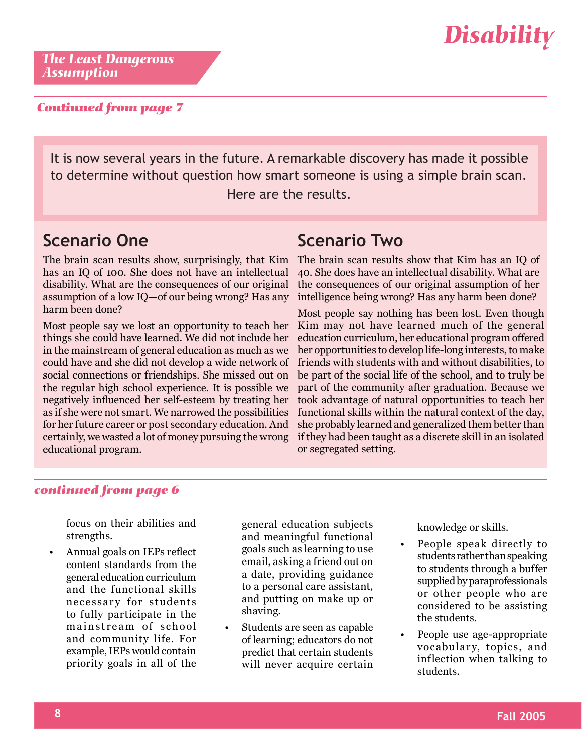

*The Least Dangerous Assumption*

#### *Continued from page 7*

It is now several years in the future. A remarkable discovery has made it possible to determine without question how smart someone is using a simple brain scan. Here are the results.

### **Scenario One**

has an IQ of 100. She does not have an intellectual disability. What are the consequences of our original assumption of a low IQ—of our being wrong? Has any harm been done?

Most people say we lost an opportunity to teach her things she could have learned. We did not include her in the mainstream of general education as much as we could have and she did not develop a wide network of social connections or friendships. She missed out on the regular high school experience. It is possible we negatively influenced her self-esteem by treating her as if she were not smart. We narrowed the possibilities for her future career or post secondary education. And certainly, we wasted a lot of money pursuing the wrong educational program.

### **Scenario Two**

The brain scan results show, surprisingly, that Kim The brain scan results show that Kim has an IQ of 40. She does have an intellectual disability. What are the consequences of our original assumption of her intelligence being wrong? Has any harm been done?

> Most people say nothing has been lost. Even though Kim may not have learned much of the general education curriculum, her educational program offered her opportunities to develop life-long interests, to make friends with students with and without disabilities, to be part of the social life of the school, and to truly be part of the community after graduation. Because we took advantage of natural opportunities to teach her functional skills within the natural context of the day, she probably learned and generalized them better than if they had been taught as a discrete skill in an isolated or segregated setting.

#### *continued from page 6*

focus on their abilities and strengths.

Annual goals on IEPs reflect content standards from the general education curriculum and the functional skills necessary for students to fully participate in the mainstream of school and community life. For example, IEPs would contain priority goals in all of the •

general education subjects and meaningful functional goals such as learning to use email, asking a friend out on a date, providing guidance to a personal care assistant, and putting on make up or shaving.

Students are seen as capable of learning; educators do not predict that certain students will never acquire certain •

knowledge or skills.

- People speak directly to students rather than speaking to students through a buffer supplied by paraprofessionals or other people who are considered to be assisting the students. •
- People use age-appropriate vocabulary, topics, and inflection when talking to students. •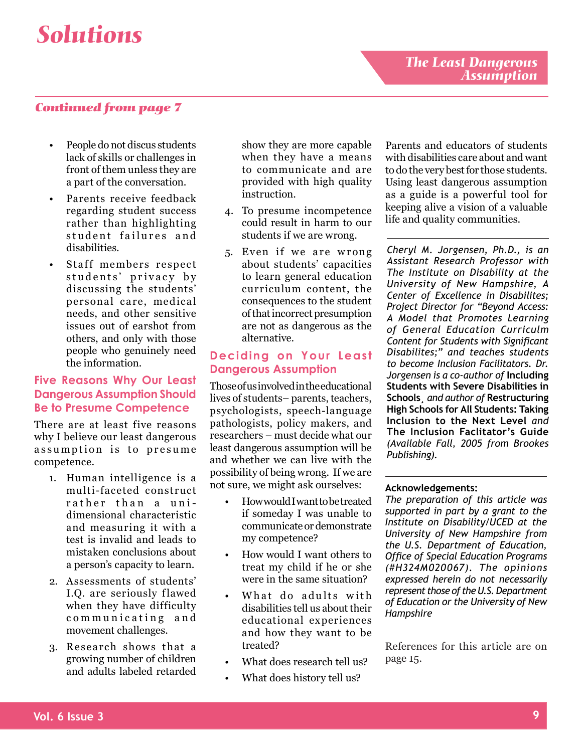### *Continued from page 7*

- People do not discus students lack of skills or challenges in front of them unless they are a part of the conversation. •
- Parents receive feedback regarding student success rather than highlighting student failures and disabilities. •
- Staff members respect students' privacy by discussing the students' personal care, medical needs, and other sensitive issues out of earshot from others, and only with those people who genuinely need the information. •

#### **Five Reasons Why Our Least Dangerous Assumption Should Be to Presume Competence**

There are at least five reasons why I believe our least dangerous assumption is to presume competence.

- 1. Human intelligence is a multi-faceted construct rather than a unidimensional characteristic and measuring it with a test is invalid and leads to mistaken conclusions about a person's capacity to learn.
- Assessments of students' 2. I.Q. are seriously flawed when they have difficulty communicating and movement challenges.
- 3. Research shows that a growing number of children and adults labeled retarded

show they are more capable when they have a means to communicate and are provided with high quality instruction.

- To presume incompetence 4. could result in harm to our students if we are wrong.
- 5. Even if we are wrong about students' capacities to learn general education curriculum content, the consequences to the student of that incorrect presumption are not as dangerous as the alternative.

#### **Deciding on Your Least Dangerous Assumption**

Those of us involved in the educational lives of students– parents, teachers, psychologists, speech-language pathologists, policy makers, and researchers – must decide what our least dangerous assumption will be and whether we can live with the possibility of being wrong. If we are not sure, we might ask ourselves:

- How would I want to be treated if someday I was unable to communicate or demonstrate my competence? •
- How would I want others to treat my child if he or she were in the same situation? •
- What do adults with disabilities tell us about their educational experiences and how they want to be treated? •
- What does research tell us? •
- What does history tell us? •

Parents and educators of students with disabilities care about and want to do the very best for those students. Using least dangerous assumption as a guide is a powerful tool for keeping alive a vision of a valuable life and quality communities.

*Cheryl M. Jorgensen, Ph.D., is an Assistant Research Professor with The Institute on Disability at the University of New Hampshire, A Center of Excellence in Disabilites; Project Director for "Beyond Access: A Model that Promotes Learning of General Education Curriculm Content for Students with Significant Disabilites;" and teaches students to become Inclusion Facilitators. Dr. Jorgensen is a co-author of* **Including Students with Severe Disabilities in Schools¸** *and author of* **Restructuring High Schools for All Students: Taking Inclusion to the Next Level** *and* **The Inclusion Faclitator's Guide**  *(Available Fall, 2005 from Brookes Publishing).* 

#### **Acknowledgements:**

*The preparation of this article was supported in part by a grant to the Institute on Disability/UCED at the University of New Hampshire from the U.S. Department of Education, Office of Special Education Programs (#H324M020067). The opinions expressed herein do not necessarily represent those of the U.S. Department of Education or the University of New Hampshire*

References for this article are on page 15.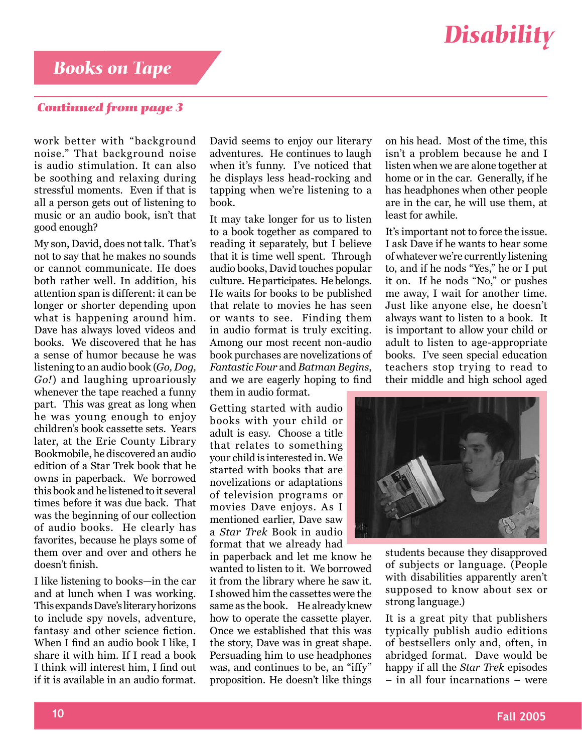### *Books on Tape*

#### *Continued from page 3*

work better with "background noise." That background noise is audio stimulation. It can also be soothing and relaxing during stressful moments. Even if that is all a person gets out of listening to music or an audio book, isn't that good enough?

My son, David, does not talk. That's not to say that he makes no sounds or cannot communicate. He does both rather well. In addition, his attention span is different: it can be longer or shorter depending upon what is happening around him. Dave has always loved videos and books. We discovered that he has a sense of humor because he was listening to an audio book (*Go, Dog, Go!*) and laughing uproariously whenever the tape reached a funny part. This was great as long when he was young enough to enjoy children's book cassette sets. Years later, at the Erie County Library Bookmobile, he discovered an audio edition of a Star Trek book that he owns in paperback. We borrowed this book and he listened to it several times before it was due back. That was the beginning of our collection of audio books. He clearly has favorites, because he plays some of them over and over and others he doesn't finish.

I like listening to books—in the car and at lunch when I was working. This expands Dave's literary horizons to include spy novels, adventure, fantasy and other science fiction. When I find an audio book I like, I share it with him. If I read a book I think will interest him, I find out if it is available in an audio format. David seems to enjoy our literary adventures. He continues to laugh when it's funny. I've noticed that he displays less head-rocking and tapping when we're listening to a book.

It may take longer for us to listen to a book together as compared to reading it separately, but I believe that it is time well spent. Through audio books, David touches popular culture. He participates. He belongs. He waits for books to be published that relate to movies he has seen or wants to see. Finding them in audio format is truly exciting. Among our most recent non-audio book purchases are novelizations of *Fantastic Four* and *Batman Begins*, and we are eagerly hoping to find them in audio format.

Getting started with audio books with your child or adult is easy. Choose a title that relates to something your child is interested in. We started with books that are novelizations or adaptations of television programs or movies Dave enjoys. As I mentioned earlier, Dave saw a *Star Trek* Book in audio format that we already had

in paperback and let me know he wanted to listen to it. We borrowed it from the library where he saw it. I showed him the cassettes were the same as the book. He already knew how to operate the cassette player. Once we established that this was the story, Dave was in great shape. Persuading him to use headphones was, and continues to be, an "iffy" proposition. He doesn't like things

on his head. Most of the time, this isn't a problem because he and I listen when we are alone together at home or in the car. Generally, if he has headphones when other people are in the car, he will use them, at least for awhile.

It's important not to force the issue. I ask Dave if he wants to hear some of whatever we're currently listening to, and if he nods "Yes," he or I put it on. If he nods "No," or pushes me away, I wait for another time. Just like anyone else, he doesn't always want to listen to a book. It is important to allow your child or adult to listen to age-appropriate books. I've seen special education teachers stop trying to read to their middle and high school aged



students because they disapproved of subjects or language. (People with disabilities apparently aren't supposed to know about sex or strong language.)

It is a great pity that publishers typically publish audio editions of bestsellers only and, often, in abridged format. Dave would be happy if all the *Star Trek* episodes – in all four incarnations – were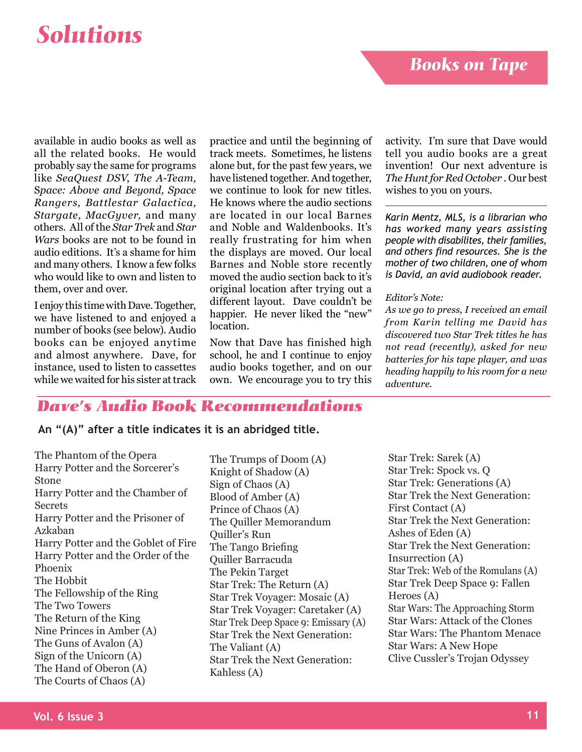### *Books on Tape*

## *Disability Solutions*

available in audio books as well as all the related books. He would probably say the same for programs like *SeaQuest DSV*, *The A-Team,* S*pace: Above and Beyond, Space Rangers, Battlestar Galactica, Stargate, MacGyver,* and many others. All of the *Star Trek* and *Star Wars* books are not to be found in audio editions. It's a shame for him and many others. I know a few folks who would like to own and listen to them, over and over.

I enjoy this time with Dave. Together, we have listened to and enjoyed a number of books (see below). Audio books can be enjoyed anytime and almost anywhere. Dave, for instance, used to listen to cassettes while we waited for his sister at track

practice and until the beginning of track meets. Sometimes, he listens alone but, for the past few years, we have listened together. And together, we continue to look for new titles. He knows where the audio sections are located in our local Barnes and Noble and Waldenbooks. It's really frustrating for him when the displays are moved. Our local Barnes and Noble store recently moved the audio section back to it's original location after trying out a different layout. Dave couldn't be happier. He never liked the "new" location.

Now that Dave has finished high school, he and I continue to enjoy audio books together, and on our own. We encourage you to try this

activity. I'm sure that Dave would tell you audio books are a great invention! Our next adventure is *The Hunt for Red October .* Our best wishes to you on yours.

*Karin Mentz, MLS, is a librarian who has worked many years assisting people with disabilites, their families, and others find resources. She is the mother of two children, one of whom is David, an avid audiobook reader.*

#### *Editor's Note:*

*As we go to press, I received an email from Karin telling me David has discovered two Star Trek titles he has not read (recently), asked for new batteries for his tape player, and was heading happily to his room for a new adventure.*

### *Dave's Audio Book Recommendations*

#### **An "(A)" after a title indicates it is an abridged title.**

The Phantom of the Opera Harry Potter and the Sorcerer's Stone Harry Potter and the Chamber of **Secrets** Harry Potter and the Prisoner of Azkaban Harry Potter and the Goblet of Fire Harry Potter and the Order of the Phoenix The Hobbit The Fellowship of the Ring The Two Towers The Return of the King Nine Princes in Amber (A) The Guns of Avalon (A) Sign of the Unicorn (A) The Hand of Oberon (A) The Courts of Chaos (A)

The Trumps of Doom (A) Knight of Shadow (A) Sign of Chaos (A) Blood of Amber (A) Prince of Chaos (A) The Quiller Memorandum Quiller's Run The Tango Briefing Quiller Barracuda The Pekin Target Star Trek: The Return (A) Star Trek Voyager: Mosaic (A) Star Trek Voyager: Caretaker (A) Star Trek Deep Space 9: Emissary (A) Star Trek the Next Generation: The Valiant (A) Star Trek the Next Generation: Kahless (A)

Star Trek: Sarek (A) Star Trek: Spock vs. Q Star Trek: Generations (A) Star Trek the Next Generation: First Contact (A) Star Trek the Next Generation: Ashes of Eden (A) Star Trek the Next Generation: Insurrection (A) Star Trek: Web of the Romulans (A) Star Trek Deep Space 9: Fallen Heroes (A) Star Wars: The Approaching Storm Star Wars: Attack of the Clones Star Wars: The Phantom Menace Star Wars: A New Hope Clive Cussler's Trojan Odyssey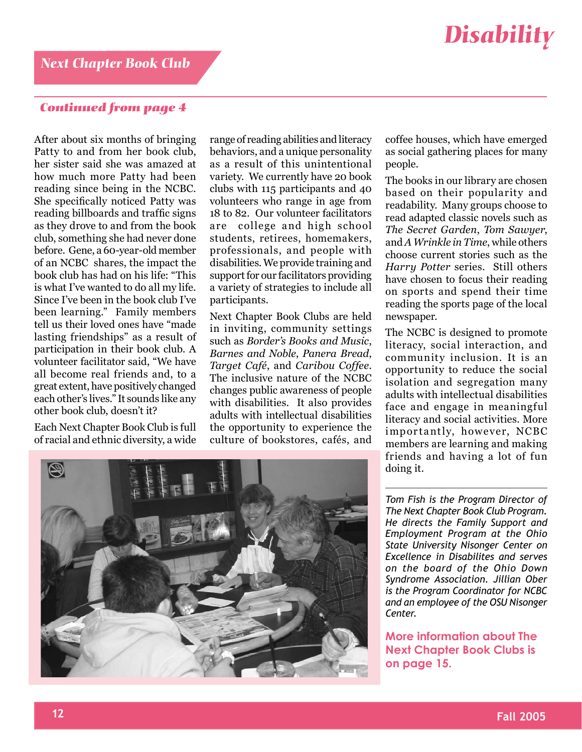### *Continued from page 4*

After about six months of bringing Patty to and from her book club, her sister said she was amazed at how much more Patty had been reading since being in the NCBC. She specifically noticed Patty was reading billboards and traffic signs as they drove to and from the book club, something she had never done before. Gene, a 60-year-old member of an NCBC shares, the impact the book club has had on his life: "This is what I've wanted to do all my life. Since I've been in the book club I've been learning." Family members tell us their loved ones have "made lasting friendships" as a result of participation in their book club. A volunteer facilitator said, "We have all become real friends and, to a great extent, have positively changed each other's lives." It sounds like any other book club, doesn't it?

Each Next Chapter Book Club is full of racial and ethnic diversity, a wide range of reading abilities and literacy behaviors, and a unique personality as a result of this unintentional variety. We currently have 20 book clubs with 115 participants and 40 volunteers who range in age from 18 to 82. Our volunteer facilitators are college and high school students, retirees, homemakers, professionals, and people with disabilities. We provide training and support for our facilitators providing a variety of strategies to include all participants.

Next Chapter Book Clubs are held in inviting, community settings such as *Border's Books and Music*, *Barnes and Noble*, *Panera Bread*, *Target Café*, and *Caribou Coffee*. The inclusive nature of the NCBC changes public awareness of people with disabilities. It also provides adults with intellectual disabilities the opportunity to experience the culture of bookstores, cafés, and

coffee houses, which have emerged as social gathering places for many people.

The books in our library are chosen based on their popularity and readability. Many groups choose to read adapted classic novels such as *The Secret Garden*, *Tom Sawyer*, and *A Wrinkle in Time*, while others choose current stories such as the *Harry Potter* series. Still others have chosen to focus their reading on sports and spend their time reading the sports page of the local newspaper.

The NCBC is designed to promote literacy, social interaction, and community inclusion. It is an opportunity to reduce the social isolation and segregation many adults with intellectual disabilities face and engage in meaningful literacy and social activities. More importantly, however, NCBC members are learning and making friends and having a lot of fun doing it.

*Tom Fish is the Program Director of The Next Chapter Book Club Program. He directs the Family Support and Employment Program at the Ohio State University Nisonger Center on Excellence in Disabilites and serves on the board of the Ohio Down Syndrome Association. Jillian Ober is the Program Coordinator for NCBC and an employee of the OSU Nisonger Center.* 

**More information about The Next Chapter Book Clubs is on page 15.**

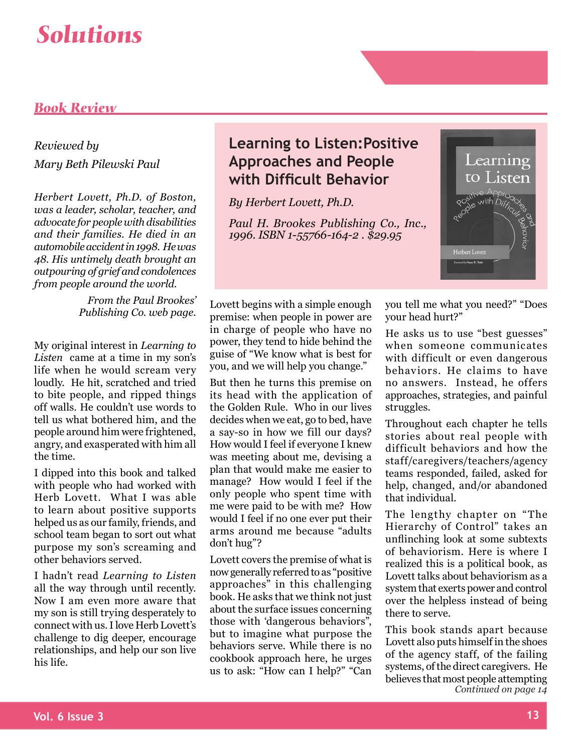### *Book Review*

### *Reviewed by Mary Beth Pilewski Paul*

*Herbert Lovett, Ph.D. of Boston, was a leader, scholar, teacher, and advocate for people with disabilities and their families. He died in an automobile accident in 1998. He was 48. His untimely death brought an outpouring of grief and condolences from people around the world.*

> *From the Paul Brookes' Publishing Co. web page.*

My original interest in *Learning to Listen* came at a time in my son's life when he would scream very loudly. He hit, scratched and tried to bite people, and ripped things off walls. He couldn't use words to tell us what bothered him, and the people around him were frightened, angry, and exasperated with him all the time.

I dipped into this book and talked with people who had worked with Herb Lovett. What I was able to learn about positive supports helped us as our family, friends, and school team began to sort out what purpose my son's screaming and other behaviors served.

I hadn't read *Learning to Listen*  all the way through until recently. Now I am even more aware that my son is still trying desperately to connect with us. I love Herb Lovett's challenge to dig deeper, encourage relationships, and help our son live his life.

### **Learning to Listen:Positive Approaches and People with Difficult Behavior**

*By Herbert Lovett, Ph.D.* 

*Paul H. Brookes Publishing Co., Inc., 1996. ISBN 1-55766-164-2 . \$29.95*



Lovett begins with a simple enough premise: when people in power are in charge of people who have no power, they tend to hide behind the guise of "We know what is best for you, and we will help you change."

But then he turns this premise on its head with the application of the Golden Rule. Who in our lives decides when we eat, go to bed, have a say-so in how we fill our days? How would I feel if everyone I knew was meeting about me, devising a plan that would make me easier to manage? How would I feel if the only people who spent time with me were paid to be with me? How would I feel if no one ever put their arms around me because "adults don't hug"?

Lovett covers the premise of what is now generally referred to as "positive approaches" in this challenging book. He asks that we think not just about the surface issues concerning those with 'dangerous behaviors", but to imagine what purpose the behaviors serve. While there is no cookbook approach here, he urges us to ask: "How can I help?" "Can

you tell me what you need?" "Does your head hurt?"

He asks us to use "best guesses" when someone communicates with difficult or even dangerous behaviors. He claims to have no answers. Instead, he offers approaches, strategies, and painful struggles.

Throughout each chapter he tells stories about real people with difficult behaviors and how the staff/caregivers/teachers/agency teams responded, failed, asked for help, changed, and/or abandoned that individual.

The lengthy chapter on "The Hierarchy of Control" takes an unflinching look at some subtexts of behaviorism. Here is where I realized this is a political book, as Lovett talks about behaviorism as a system that exerts power and control over the helpless instead of being there to serve.

This book stands apart because Lovett also puts himself in the shoes of the agency staff, of the failing systems, of the direct caregivers. He believes that most people attempting *Continued on page 14*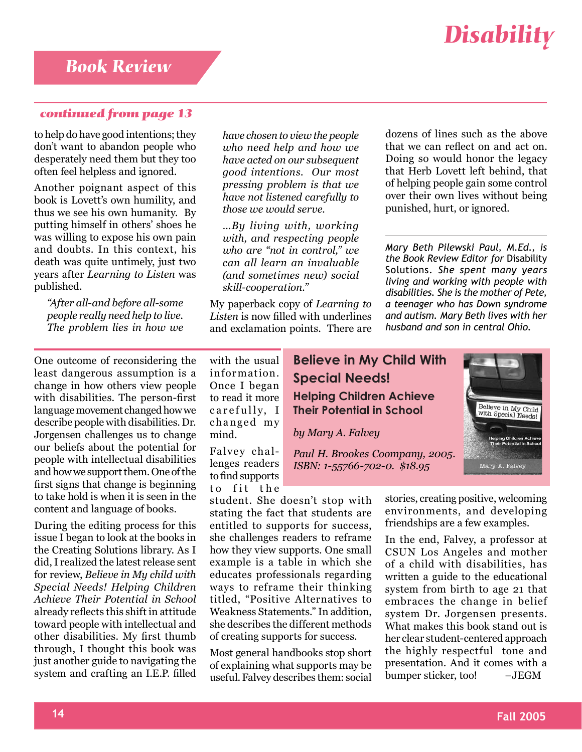#### *continued from page 13*

to help do have good intentions; they don't want to abandon people who desperately need them but they too often feel helpless and ignored.

Another poignant aspect of this book is Lovett's own humility, and thus we see his own humanity. By putting himself in others' shoes he was willing to expose his own pain and doubts. In this context, his death was quite untimely, just two years after *Learning to Listen* was published.

*"After all-and before all-some people really need help to live. The problem lies in how we* 

*have chosen to view the people who need help and how we have acted on our subsequent good intentions. Our most pressing problem is that we have not listened carefully to those we would serve.*

*…By living with, working with, and respecting people who are "not in control," we can all learn an invaluable (and sometimes new) social skill-cooperation."* 

My paperback copy of *Learning to Listen* is now filled with underlines and exclamation points. There are dozens of lines such as the above that we can reflect on and act on. Doing so would honor the legacy that Herb Lovett left behind, that of helping people gain some control over their own lives without being punished, hurt, or ignored.

*Mary Beth Pilewski Paul, M.Ed., is the Book Review Editor for* Disability Solutions. *She spent many years living and working with people with disabilities. She is the mother of Pete, a teenager who has Down syndrome and autism. Mary Beth lives with her husband and son in central Ohio.*

One outcome of reconsidering the least dangerous assumption is a change in how others view people with disabilities. The person-first language movement changed how we describe people with disabilities. Dr. Jorgensen challenges us to change our beliefs about the potential for people with intellectual disabilities and how we support them. One of the first signs that change is beginning to take hold is when it is seen in the content and language of books.

During the editing process for this issue I began to look at the books in the Creating Solutions library. As I did, I realized the latest release sent for review, *Believe in My child with Special Needs! Helping Children Achieve Their Potential in School* already reflects this shift in attitude toward people with intellectual and other disabilities. My first thumb through, I thought this book was just another guide to navigating the system and crafting an I.E.P. filled

with the usual information. Once I began to read it more carefully, I changed my mind.

Falvey challenges readers to find supports to fit the

student. She doesn't stop with stating the fact that students are entitled to supports for success, she challenges readers to reframe how they view supports. One small example is a table in which she educates professionals regarding ways to reframe their thinking titled, "Positive Alternatives to Weakness Statements." In addition, she describes the different methods of creating supports for success.

Most general handbooks stop short of explaining what supports may be useful. Falvey describes them: social

### **Believe in My Child With Special Needs! Helping Children Achieve Their Potential in School**

*by Mary A. Falvey*

*Paul H. Brookes Coompany, 2005. ISBN: 1-55766-702-0. \$18.95*



In the end, Falvey, a professor at CSUN Los Angeles and mother of a child with disabilities, has written a guide to the educational system from birth to age 21 that embraces the change in belief system Dr. Jorgensen presents. What makes this book stand out is her clear student-centered approach the highly respectful tone and presentation. And it comes with a bumper sticker, too! –JEGM

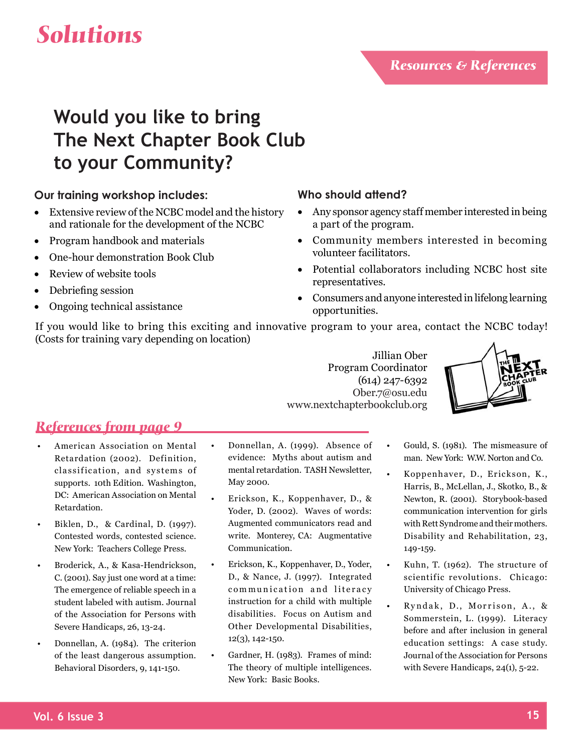### **Would you like to bring The Next Chapter Book Club to your Community?**

### **Our training workshop includes:**

- Extensive review of the NCBC model and the history and rationale for the development of the NCBC
- Program handbook and materials
- One-hour demonstration Book Club
- Review of website tools
- Debriefing session
- Ongoing technical assistance

### **Who should attend?**

- Any sponsor agency staff member interested in being a part of the program.
- Community members interested in becoming volunteer facilitators.
- Potential collaborators including NCBC host site representatives.
- Consumers and anyone interested in lifelong learning opportunities.

If you would like to bring this exciting and innovative program to your area, contact the NCBC today! (Costs for training vary depending on location)

> Jillian Ober Program Coordinator (614) 247-6392 Ober.7@osu.edu www.nextchapterbookclub.org

> > •

•



### *References from page 9*

- American Association on Mental Retardation (2002). Definition, classification, and systems of supports. 10th Edition. Washington, DC: American Association on Mental Retardation. •
- Biklen, D., & Cardinal, D. (1997). Contested words, contested science. New York: Teachers College Press. •
- Broderick, A., & Kasa-Hendrickson, C. (2001). Say just one word at a time: The emergence of reliable speech in a student labeled with autism. Journal of the Association for Persons with Severe Handicaps, 26, 13-24. •
- Donnellan, A. (1984). The criterion of the least dangerous assumption. Behavioral Disorders, 9, 141-150. •
- Donnellan, A. (1999). Absence of evidence: Myths about autism and mental retardation. TASH Newsletter, May 2000. •
- Erickson, K., Koppenhaver, D., & Yoder, D. (2002). Waves of words: Augmented communicators read and write. Monterey, CA: Augmentative Communication. •
- Erickson, K., Koppenhaver, D., Yoder, D., & Nance, J. (1997). Integrated communication and literacy instruction for a child with multiple disabilities. Focus on Autism and Other Developmental Disabilities, 12(3), 142-150. •
- Gardner, H. (1983). Frames of mind: The theory of multiple intelligences. New York: Basic Books. •
- Gould, S. (1981). The mismeasure of man. New York: W.W. Norton and Co.
- Koppenhaver, D., Erickson, K., Harris, B., McLellan, J., Skotko, B., & Newton, R. (2001). Storybook-based communication intervention for girls with Rett Syndrome and their mothers. Disability and Rehabilitation, 23, 149-159.
- Kuhn, T. (1962). The structure of scientific revolutions. Chicago: University of Chicago Press. •
- Ryndak, D., Morrison, A., & Sommerstein, L. (1999). Literacy before and after inclusion in general education settings: A case study. Journal of the Association for Persons with Severe Handicaps, 24(1), 5-22. •